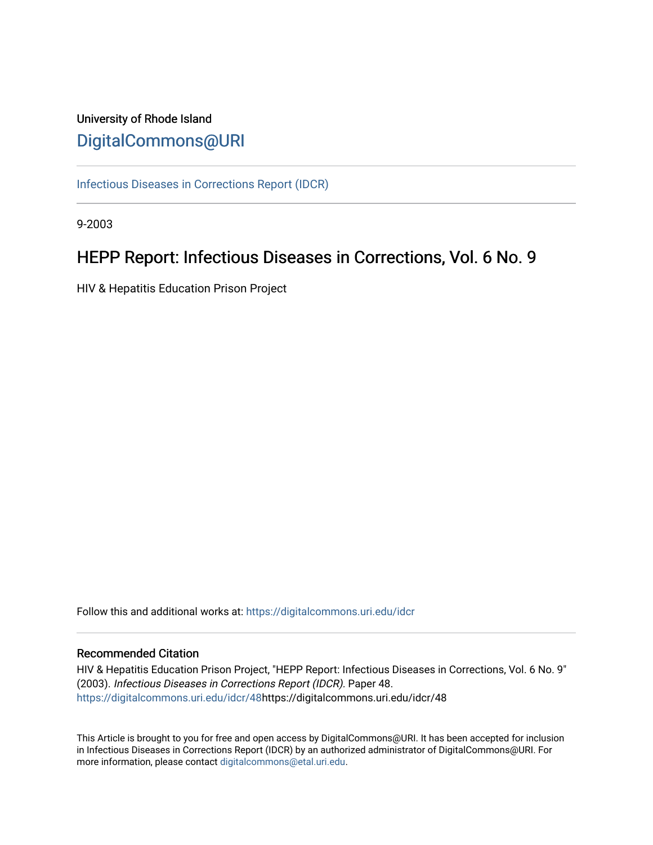# University of Rhode Island [DigitalCommons@URI](https://digitalcommons.uri.edu/)

[Infectious Diseases in Corrections Report \(IDCR\)](https://digitalcommons.uri.edu/idcr)

9-2003

# HEPP Report: Infectious Diseases in Corrections, Vol. 6 No. 9

HIV & Hepatitis Education Prison Project

Follow this and additional works at: [https://digitalcommons.uri.edu/idcr](https://digitalcommons.uri.edu/idcr?utm_source=digitalcommons.uri.edu%2Fidcr%2F48&utm_medium=PDF&utm_campaign=PDFCoverPages)

## Recommended Citation

HIV & Hepatitis Education Prison Project, "HEPP Report: Infectious Diseases in Corrections, Vol. 6 No. 9" (2003). Infectious Diseases in Corrections Report (IDCR). Paper 48. [https://digitalcommons.uri.edu/idcr/48h](https://digitalcommons.uri.edu/idcr/48?utm_source=digitalcommons.uri.edu%2Fidcr%2F48&utm_medium=PDF&utm_campaign=PDFCoverPages)ttps://digitalcommons.uri.edu/idcr/48

This Article is brought to you for free and open access by DigitalCommons@URI. It has been accepted for inclusion in Infectious Diseases in Corrections Report (IDCR) by an authorized administrator of DigitalCommons@URI. For more information, please contact [digitalcommons@etal.uri.edu.](mailto:digitalcommons@etal.uri.edu)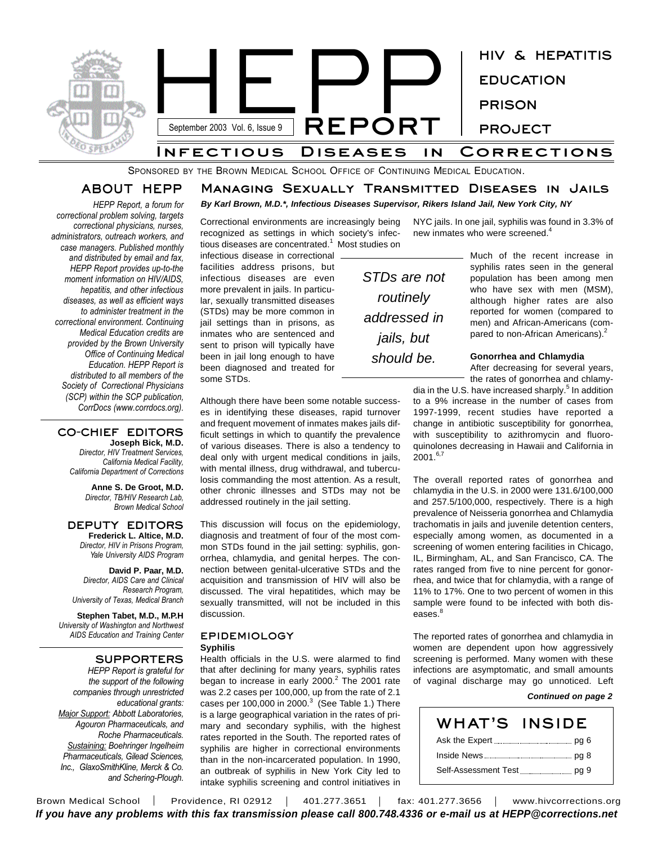

SPONSORED BY THE BROWN MEDICAL SCHOOL OFFICE OF CONTINUING MEDICAL EDUCATION.

## **ABOUT HEPP**

**Managing Sexually Transmitted Diseases in Jails**

*HEPP Report, a forum for correctional problem solving, targets correctional physicians, nurses, administrators, outreach workers, and case managers. Published monthly and distributed by email and fax, HEPP Report provides up-to-the moment information on HIV/AIDS, hepatitis, and other infectious diseases, as well as efficient ways to administer treatment in the correctional environment. Continuing Medical Education credits are provided by the Brown University Office of Continuing Medical Education. HEPP Report is distributed to all members of the Society of Correctional Physicians (SCP) within the SCP publication, CorrDocs (www.corrdocs.org).*

#### **CO-CHIEF EDITORS Joseph Bick, M.D.**

*Director, HIV Treatment Services, California Medical Facility, California Department of Corrections*

> **Anne S. De Groot, M.D.** *Director, TB/HIV Research Lab, Brown Medical School*

#### **DEPUTY EDITORS Frederick L. Altice, M.D.**

*Director, HIV in Prisons Program, Yale University AIDS Program*

**David P. Paar, M.D.** *Director, AIDS Care and Clinical Research Program, University of Texas, Medical Branch*

**Stephen Tabet, M.D., M.P.H** *University of Washington and Northwest AIDS Education and Training Center*

# **SUPPORTERS**

*HEPP Report is grateful for the support of the following companies through unrestricted educational grants: Major Support: Abbott Laboratories, Agouron Pharmaceuticals, and Roche Pharmaceuticals. Sustaining: Boehringer Ingelheim Pharmaceuticals, Gilead Sciences, Inc., GlaxoSmithKline, Merck & Co. and Schering-Plough.*

## *By Karl Brown, M.D.\*, Infectious Diseases Supervisor, Rikers Island Jail, New York City, NY*

Correctional environments are increasingly being recognized as settings in which society's infectious diseases are concentrated. <sup>1</sup> Most studies on

infectious disease in correctional facilities address prisons, but infectious diseases are even more prevalent in jails. In particular, sexually transmitted diseases (STDs) may be more common in jail settings than in prisons, as inmates who are sentenced and sent to prison will typically have been in jail long enough to have been diagnosed and treated for some STDs.

Although there have been some notable successes in identifying these diseases, rapid turnover and frequent movement of inmates makes jails difficult settings in which to quantify the prevalence of various diseases. There is also a tendency to deal only with urgent medical conditions in jails, with mental illness, drug withdrawal, and tuberculosis commanding the most attention. As a result, other chronic illnesses and STDs may not be addressed routinely in the jail setting.

This discussion will focus on the epidemiology, diagnosis and treatment of four of the most common STDs found in the jail setting: syphilis, gonorrhea, chlamydia, and genital herpes. The connection between genital-ulcerative STDs and the acquisition and transmission of HIV will also be discussed. The viral hepatitides, which may be sexually transmitted, will not be included in this discussion.

## **EPIDEMIOLOGY**

#### **Syphilis**

Health officials in the U.S. were alarmed to find that after declining for many years, syphilis rates began to increase in early 2000.<sup>2</sup> The 2001 rate was 2.2 cases per 100,000, up from the rate of 2.1 cases per 100,000 in 2000. $^3$  (See Table 1.) There is a large geographical variation in the rates of primary and secondary syphilis, with the highest rates reported in the South. The reported rates of syphilis are higher in correctional environments than in the non-incarcerated population. In 1990, an outbreak of syphilis in New York City led to intake syphilis screening and control initiatives in

*STDs are not routinely addressed in jails, but should be.*

NYC jails. In one jail, syphilis was found in 3.3% of new inmates who were screened. 4

> Much of the recent increase in syphilis rates seen in the general population has been among men who have sex with men (MSM), although higher rates are also reported for women (compared to men) and African-Americans (compared to non-African Americans).<sup>2</sup>

#### **Gonorrhea and Chlamydia**

After decreasing for several years, the rates of gonorrhea and chlamy-

dia in the U.S. have increased sharply.<sup>5</sup> In addition to a 9% increase in the number of cases from 1997-1999, recent studies have reported a change in antibiotic susceptibility for gonorrhea, with susceptibility to azithromycin and fluoroquinolones decreasing in Hawaii and California in  $2001.^{6,7}$ 

The overall reported rates of gonorrhea and chlamydia in the U.S. in 2000 were 131.6/100,000 and 257.5/100,000, respectively. There is a high prevalence of Neisseria gonorrhea and Chlamydia trachomatis in jails and juvenile detention centers, especially among women, as documented in a screening of women entering facilities in Chicago, IL, Birmingham, AL, and San Francisco, CA. The rates ranged from five to nine percent for gonorrhea, and twice that for chlamydia, with a range of 11% to 17%. One to two percent of women in this sample were found to be infected with both diseases. 8

The reported rates of gonorrhea and chlamydia in women are dependent upon how aggressively screening is performed. Many women with these infections are asymptomatic, and small amounts of vaginal discharge may go unnoticed. Left

#### *Continued on page 2*

| WHAT'S INSIDE        |  |
|----------------------|--|
|                      |  |
|                      |  |
| Self-Assessment Test |  |

Brown Medical School | Providence, RI 02912 | 401.277.3651 | fax: 401.277.3656 | www.hivcorrections.org *If you have any problems with this fax transmission please call 800.748.4336 or e-mail us at HEPP@corrections.net*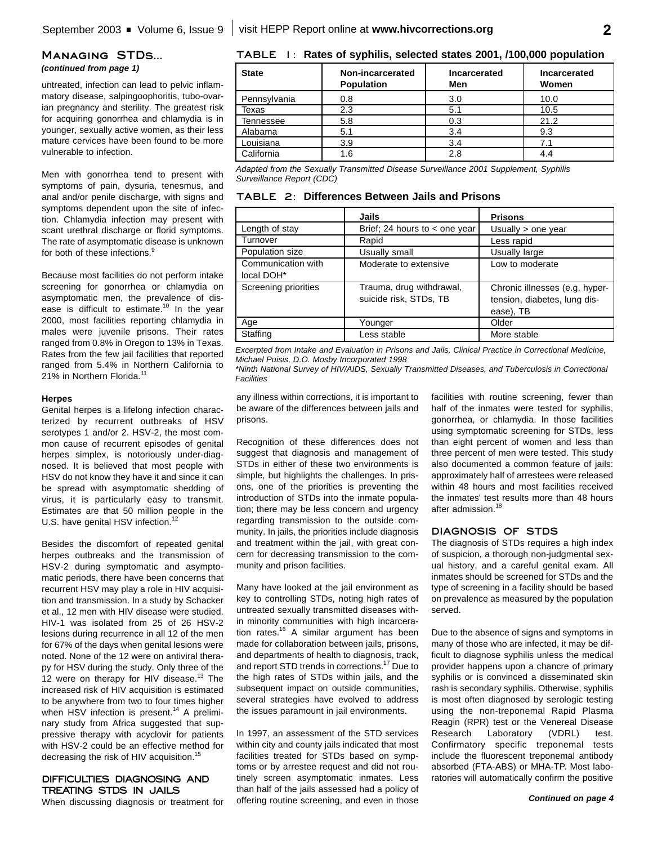#### **Managing STDs...** *(continued from page 1)*

untreated, infection can lead to pelvic inflammatory disease, salpingoophoritis, tubo-ovarian pregnancy and sterility. The greatest risk for acquiring gonorrhea and chlamydia is in younger, sexually active women, as their less mature cervices have been found to be more vulnerable to infection.

Men with gonorrhea tend to present with symptoms of pain, dysuria, tenesmus, and anal and/or penile discharge, with signs and symptoms dependent upon the site of infection. Chlamydia infection may present with scant urethral discharge or florid symptoms. The rate of asymptomatic disease is unknown for both of these infections.<sup>9</sup>

Because most facilities do not perform intake screening for gonorrhea or chlamydia on asymptomatic men, the prevalence of disease is difficult to estimate.<sup>10</sup> In the year 2000, most facilities reporting chlamydia in males were juvenile prisons. Their rates ranged from 0.8% in Oregon to 13% in Texas. Rates from the few jail facilities that reported ranged from 5.4% in Northern California to 21% in Northern Florida.<sup>11</sup>

#### **Herpes**

Genital herpes is a lifelong infection characterized by recurrent outbreaks of HSV serotypes 1 and/or 2. HSV-2, the most common cause of recurrent episodes of genital herpes simplex, is notoriously under-diagnosed. It is believed that most people with HSV do not know they have it and since it can be spread with asymptomatic shedding of virus, it is particularly easy to transmit. Estimates are that 50 million people in the U.S. have genital HSV infection.<sup>12</sup>

Besides the discomfort of repeated genital herpes outbreaks and the transmission of HSV-2 during symptomatic and asymptomatic periods, there have been concerns that recurrent HSV may play a role in HIV acquisition and transmission. In a study by Schacker et al., 12 men with HIV disease were studied. HIV-1 was isolated from 25 of 26 HSV-2 lesions during recurrence in all 12 of the men for 67% of the days when genital lesions were noted. None of the 12 were on antiviral therapy for HSV during the study. Only three of the 12 were on therapy for HIV disease.<sup>13</sup> The increased risk of HIV acquisition is estimated to be anywhere from two to four times higher when HSV infection is present.<sup>14</sup> A preliminary study from Africa suggested that suppressive therapy with acyclovir for patients with HSV-2 could be an effective method for decreasing the risk of HIV acquisition.<sup>15</sup>

## **DIFFICULTIES DIAGNOSING AND TREATING STDS IN JAILS**

When discussing diagnosis or treatment for

| <b>State</b> | Non-incarcerated<br><b>Population</b> | Incarcerated<br>Men | Incarcerated<br>Women |
|--------------|---------------------------------------|---------------------|-----------------------|
| Pennsylvania | 0.8                                   | 3.0                 | 10.0                  |
| Texas        | 2.3                                   | 5.1                 | 10.5                  |
| Tennessee    | 5.8                                   | 0.3                 | 21.2                  |
| Alabama      | 5.1                                   | 3.4                 | 9.3                   |
| Louisiana    | 3.9                                   | 3.4                 | 71                    |
| California   | 1.6                                   | 2.8                 |                       |

*Adapted from the Sexually Transmitted Disease Surveillance 2001 Supplement, Syphilis Surveillance Report (CDC)*

|  |  | <b>TABLE 2: Differences Between Jails and Prisons</b> |  |  |  |  |
|--|--|-------------------------------------------------------|--|--|--|--|
|--|--|-------------------------------------------------------|--|--|--|--|

|                      | Jails                             | <b>Prisons</b>                 |
|----------------------|-----------------------------------|--------------------------------|
| Length of stay       | Brief; 24 hours to $\lt$ one year | Usually $>$ one year           |
| Turnover             | Rapid                             | Less rapid                     |
| Population size      | Usually small                     | Usually large                  |
| Communication with   | Moderate to extensive             | Low to moderate                |
| local DOH*           |                                   |                                |
| Screening priorities | Trauma, drug withdrawal,          | Chronic illnesses (e.g. hyper- |
|                      | suicide risk, STDs, TB            | tension, diabetes, lung dis-   |
|                      |                                   | ease), TB                      |
| Age                  | Younger                           | Older                          |
| Staffing             | Less stable                       | More stable                    |

*Excerpted from Intake and Evaluation in Prisons and Jails, Clinical Practice in Correctional Medicine, Michael Puisis, D.O. Mosby Incorporated 1998*

*\*Ninth National Survey of HIV/AIDS, Sexually Transmitted Diseases, and Tuberculosis in Correctional Facilities*

any illness within corrections, it is important to be aware of the differences between jails and prisons.

Recognition of these differences does not suggest that diagnosis and management of STDs in either of these two environments is simple, but highlights the challenges. In prisons, one of the priorities is preventing the introduction of STDs into the inmate population; there may be less concern and urgency regarding transmission to the outside community. In jails, the priorities include diagnosis and treatment within the jail, with great concern for decreasing transmission to the community and prison facilities.

Many have looked at the jail environment as key to controlling STDs, noting high rates of untreated sexually transmitted diseases within minority communities with high incarceration rates.<sup>16</sup> A similar argument has been made for collaboration between jails, prisons, and departments of health to diagnosis, track, and report STD trends in corrections.<sup>17</sup> Due to the high rates of STDs within jails, and the subsequent impact on outside communities, several strategies have evolved to address the issues paramount in jail environments.

In 1997, an assessment of the STD services within city and county jails indicated that most facilities treated for STDs based on symptoms or by arrestee request and did not routinely screen asymptomatic inmates. Less than half of the jails assessed had a policy of offering routine screening, and even in those facilities with routine screening, fewer than half of the inmates were tested for syphilis, gonorrhea, or chlamydia. In those facilities using symptomatic screening for STDs, less than eight percent of women and less than three percent of men were tested. This study also documented a common feature of jails: approximately half of arrestees were released within 48 hours and most facilities received the inmates' test results more than 48 hours after admission.<sup>18</sup>

#### **DIAGNOSIS OF STDS**

The diagnosis of STDs requires a high index of suspicion, a thorough non-judgmental sexual history, and a careful genital exam. All inmates should be screened for STDs and the type of screening in a facility should be based on prevalence as measured by the population served.

Due to the absence of signs and symptoms in many of those who are infected, it may be difficult to diagnose syphilis unless the medical provider happens upon a chancre of primary syphilis or is convinced a disseminated skin rash is secondary syphilis. Otherwise, syphilis is most often diagnosed by serologic testing using the non-treponemal Rapid Plasma Reagin (RPR) test or the Venereal Disease Research Laboratory (VDRL) test. Confirmatory specific treponemal tests include the fluorescent treponemal antibody absorbed (FTA-ABS) or MHA-TP. Most laboratories will automatically confirm the positive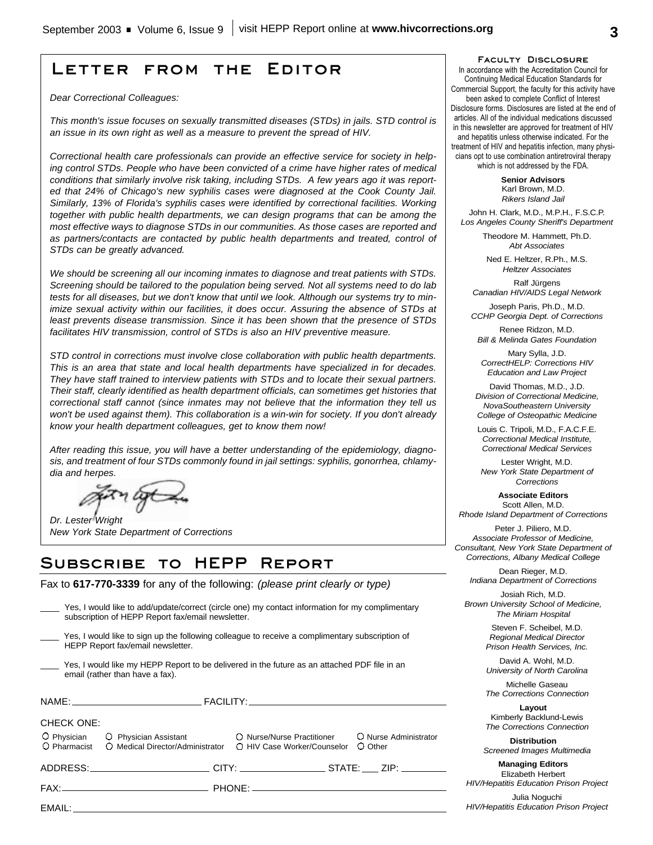# **Letter from the Editor**

*Dear Correctional Colleagues:*

*This month's issue focuses on sexually transmitted diseases (STDs) in jails. STD control is an issue in its own right as well as a measure to prevent the spread of HIV.*

*Correctional health care professionals can provide an effective service for society in helping control STDs. People who have been convicted of a crime have higher rates of medical conditions that similarly involve risk taking, including STDs. A few years ago it was reported that 24% of Chicago's new syphilis cases were diagnosed at the Cook County Jail. Similarly, 13% of Florida's syphilis cases were identified by correctional facilities. Working together with public health departments, we can design programs that can be among the most effective ways to diagnose STDs in our communities. As those cases are reported and as partners/contacts are contacted by public health departments and treated, control of STDs can be greatly advanced.*

*We should be screening all our incoming inmates to diagnose and treat patients with STDs. Screening should be tailored to the population being served. Not all systems need to do lab tests for all diseases, but we don't know that until we look. Although our systems try to minimize sexual activity within our facilities, it does occur. Assuring the absence of STDs at least prevents disease transmission. Since it has been shown that the presence of STDs facilitates HIV transmission, control of STDs is also an HIV preventive measure.*

*STD control in corrections must involve close collaboration with public health departments. This is an area that state and local health departments have specialized in for decades. They have staff trained to interview patients with STDs and to locate their sexual partners. Their staff, clearly identified as health department officials, can sometimes get histories that correctional staff cannot (since inmates may not believe that the information they tell us won't be used against them). This collaboration is a win-win for society. If you don't already know your health department colleagues, get to know them now!*

*After reading this issue, you will have a better understanding of the epidemiology, diagnosis, and treatment of four STDs commonly found in jail settings: syphilis, gonorrhea, chlamydia and herpes.*

*Dr. Lester Wright New York State Department of Corrections*

# **Subscribe to HEPP Report**

Fax to **617-770-3339** for any of the following: *(please print clearly or type)*

|                   | subscription of HEPP Report fax/email newsletter. | Yes, I would like to add/update/correct (circle one) my contact information for my complimentary                                                                |         |
|-------------------|---------------------------------------------------|-----------------------------------------------------------------------------------------------------------------------------------------------------------------|---------|
|                   | HEPP Report fax/email newsletter.                 | Yes, I would like to sign up the following colleague to receive a complimentary subscription of                                                                 |         |
|                   | email (rather than have a fax).                   | Yes, I would like my HEPP Report to be delivered in the future as an attached PDF file in an                                                                    |         |
|                   |                                                   |                                                                                                                                                                 |         |
| <b>CHECK ONE:</b> |                                                   | O Physician O Physician Assistant O Nurse/Nurse Practitioner O Nurse Administrator<br>O Pharmacist O Medical Director/Administrator O HIV Case Worker/Counselor | O Other |
|                   |                                                   | ADDRESS:______________________________CITY: ______________________STATE: _____ ZIP: _________                                                                   |         |
|                   |                                                   |                                                                                                                                                                 |         |
|                   |                                                   |                                                                                                                                                                 |         |

#### **Faculty Disclosure**

In accordance with the Accreditation Council for Continuing Medical Education Standards for Commercial Support, the faculty for this activity have been asked to complete Conflict of Interest Disclosure forms. Disclosures are listed at the end of articles. All of the individual medications discussed in this newsletter are approved for treatment of HIV and hepatitis unless otherwise indicated. For the treatment of HIV and hepatitis infection, many physicians opt to use combination antiretroviral therapy which is not addressed by the FDA.

> **Senior Advisors** Karl Brown, M.D. *Rikers Island Jail*

John H. Clark, M.D., M.P.H., F.S.C.P. *Los Angeles County Sheriff's Department*

> Theodore M. Hammett, Ph.D. *Abt Associates*

Ned E. Heltzer, R.Ph., M.S. *Heltzer Associates*

Ralf Jürgens *Canadian HIV/AIDS Legal Network*

Joseph Paris, Ph.D., M.D. *CCHP Georgia Dept. of Corrections*

Renee Ridzon, M.D. *Bill & Melinda Gates Foundation*

Mary Sylla, J.D. *CorrectHELP: Corrections HIV Education and Law Project*

David Thomas, M.D., J.D. *Division of Correctional Medicine, NovaSoutheastern University College of Osteopathic Medicine*

Louis C. Tripoli, M.D., F.A.C.F.E. *Correctional Medical Institute, Correctional Medical Services*

Lester Wright, M.D. *New York State Department of Corrections*

**Associate Editors** Scott Allen, M.D. *Rhode Island Department of Corrections*

Peter J. Piliero, M.D. *Associate Professor of Medicine, Consultant, New York State Department of Corrections, Albany Medical College*

Dean Rieger, M.D. *Indiana Department of Corrections*

Josiah Rich, M.D. *Brown University School of Medicine, The Miriam Hospital*

> Steven F. Scheibel, M.D. *Regional Medical Director Prison Health Services, Inc.*

> David A. Wohl, M.D. *University of North Carolina*

> Michelle Gaseau *The Corrections Connection*

> **Layout** Kimberly Backlund-Lewis *The Corrections Connection*

**Distribution** *Screened Images Multimedia*

**Managing Editors** Elizabeth Herbert

*HIV/Hepatitis Education Prison Project*

Julia Noguchi *HIV/Hepatitis Education Prison Project*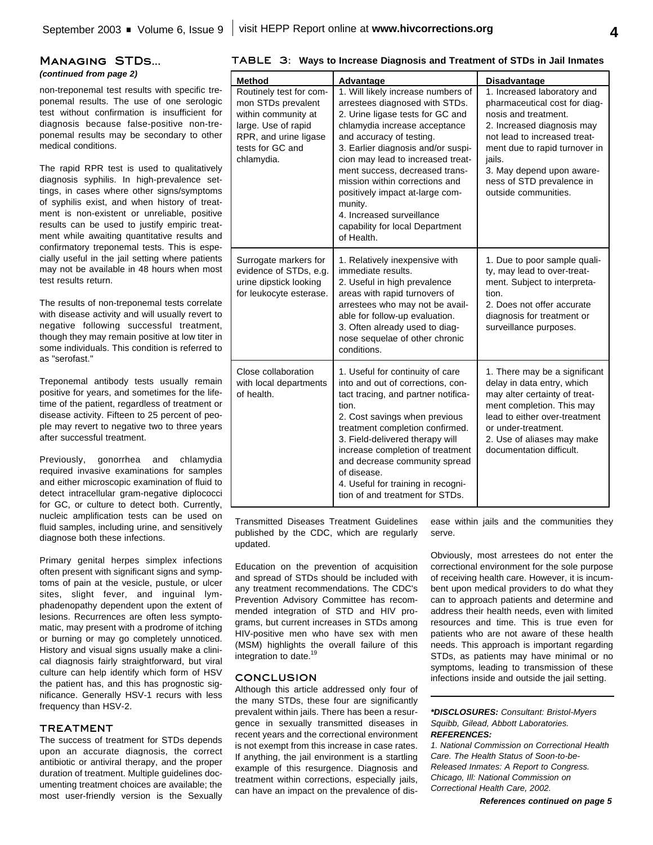# **Managing STDs...**

*(continued from page 2)*

non-treponemal test results with specific treponemal results. The use of one serologic test without confirmation is insufficient for diagnosis because false-positive non-treponemal results may be secondary to other medical conditions.

The rapid RPR test is used to qualitatively diagnosis syphilis. In high-prevalence settings, in cases where other signs/symptoms of syphilis exist, and when history of treatment is non-existent or unreliable, positive results can be used to justify empiric treatment while awaiting quantitative results and confirmatory treponemal tests. This is especially useful in the jail setting where patients may not be available in 48 hours when most test results return.

The results of non-treponemal tests correlate with disease activity and will usually revert to negative following successful treatment, though they may remain positive at low titer in some individuals. This condition is referred to as "serofast."

Treponemal antibody tests usually remain positive for years, and sometimes for the lifetime of the patient, regardless of treatment or disease activity. Fifteen to 25 percent of people may revert to negative two to three years after successful treatment.

Previously, gonorrhea and chlamydia required invasive examinations for samples and either microscopic examination of fluid to detect intracellular gram-negative diplococci for GC, or culture to detect both. Currently, nucleic amplification tests can be used on fluid samples, including urine, and sensitively diagnose both these infections.

Primary genital herpes simplex infections often present with significant signs and symptoms of pain at the vesicle, pustule, or ulcer sites, slight fever, and inguinal lymphadenopathy dependent upon the extent of lesions. Recurrences are often less symptomatic, may present with a prodrome of itching or burning or may go completely unnoticed. History and visual signs usually make a clinical diagnosis fairly straightforward, but viral culture can help identify which form of HSV the patient has, and this has prognostic significance. Generally HSV-1 recurs with less frequency than HSV-2.

#### **TREATMENT**

The success of treatment for STDs depends upon an accurate diagnosis, the correct antibiotic or antiviral therapy, and the proper duration of treatment. Multiple guidelines documenting treatment choices are available; the most user-friendly version is the Sexually

|  |  | TABLE 3: Ways to Increase Diagnosis and Treatment of STDs in Jail Inmates |  |  |  |  |
|--|--|---------------------------------------------------------------------------|--|--|--|--|
|--|--|---------------------------------------------------------------------------|--|--|--|--|

| Method                                                                                                                                                 | Advantage                                                                                                                                                                                                                                                                                                                                                                                                                                        | <b>Disadvantage</b>                                                                                                                                                                                                                                                             |
|--------------------------------------------------------------------------------------------------------------------------------------------------------|--------------------------------------------------------------------------------------------------------------------------------------------------------------------------------------------------------------------------------------------------------------------------------------------------------------------------------------------------------------------------------------------------------------------------------------------------|---------------------------------------------------------------------------------------------------------------------------------------------------------------------------------------------------------------------------------------------------------------------------------|
| Routinely test for com-<br>mon STDs prevalent<br>within community at<br>large. Use of rapid<br>RPR, and urine ligase<br>tests for GC and<br>chlamydia. | 1. Will likely increase numbers of<br>arrestees diagnosed with STDs.<br>2. Urine ligase tests for GC and<br>chlamydia increase acceptance<br>and accuracy of testing.<br>3. Earlier diagnosis and/or suspi-<br>cion may lead to increased treat-<br>ment success, decreased trans-<br>mission within corrections and<br>positively impact at-large com-<br>munity.<br>4. Increased surveillance<br>capability for local Department<br>of Health. | 1. Increased laboratory and<br>pharmaceutical cost for diag-<br>nosis and treatment.<br>2. Increased diagnosis may<br>not lead to increased treat-<br>ment due to rapid turnover in<br>jails.<br>3. May depend upon aware-<br>ness of STD prevalence in<br>outside communities. |
| Surrogate markers for<br>evidence of STDs, e.g.<br>urine dipstick looking<br>for leukocyte esterase.                                                   | 1. Relatively inexpensive with<br>immediate results.<br>2. Useful in high prevalence<br>areas with rapid turnovers of<br>arrestees who may not be avail-<br>able for follow-up evaluation.<br>3. Often already used to diag-<br>nose sequelae of other chronic<br>conditions.                                                                                                                                                                    | 1. Due to poor sample quali-<br>ty, may lead to over-treat-<br>ment. Subject to interpreta-<br>tion.<br>2. Does not offer accurate<br>diagnosis for treatment or<br>surveillance purposes.                                                                                      |
| Close collaboration<br>with local departments<br>of health.                                                                                            | 1. Useful for continuity of care<br>into and out of corrections, con-<br>tact tracing, and partner notifica-<br>tion.<br>2. Cost savings when previous<br>treatment completion confirmed.<br>3. Field-delivered therapy will<br>increase completion of treatment<br>and decrease community spread<br>of disease.<br>4. Useful for training in recogni-<br>tion of and treatment for STDs.                                                        | 1. There may be a significant<br>delay in data entry, which<br>may alter certainty of treat-<br>ment completion. This may<br>lead to either over-treatment<br>or under-treatment.<br>2. Use of aliases may make<br>documentation difficult.                                     |

Transmitted Diseases Treatment Guidelines published by the CDC, which are regularly updated.

Education on the prevention of acquisition and spread of STDs should be included with any treatment recommendations. The CDC's Prevention Advisory Committee has recommended integration of STD and HIV programs, but current increases in STDs among HIV-positive men who have sex with men (MSM) highlights the overall failure of this integration to date. 19

#### **CONCLUSION**

Although this article addressed only four of the many STDs, these four are significantly prevalent within jails. There has been a resurgence in sexually transmitted diseases in recent years and the correctional environment is not exempt from this increase in case rates. If anything, the jail environment is a startling example of this resurgence. Diagnosis and treatment within corrections, especially jails, can have an impact on the prevalence of disease within jails and the communities they serve.

Obviously, most arrestees do not enter the correctional environment for the sole purpose of receiving health care. However, it is incumbent upon medical providers to do what they can to approach patients and determine and address their health needs, even with limited resources and time. This is true even for patients who are not aware of these health needs. This approach is important regarding STDs, as patients may have minimal or no symptoms, leading to transmission of these infections inside and outside the jail setting.

*\*DISCLOSURES: Consultant: Bristol-Myers Squibb, Gilead, Abbott Laboratories. REFERENCES:*

*1. National Commission on Correctional Health Care. The Health Status of Soon-to-be-Released Inmates: A Report to Congress. Chicago, Ill: National Commission on Correctional Health Care, 2002.*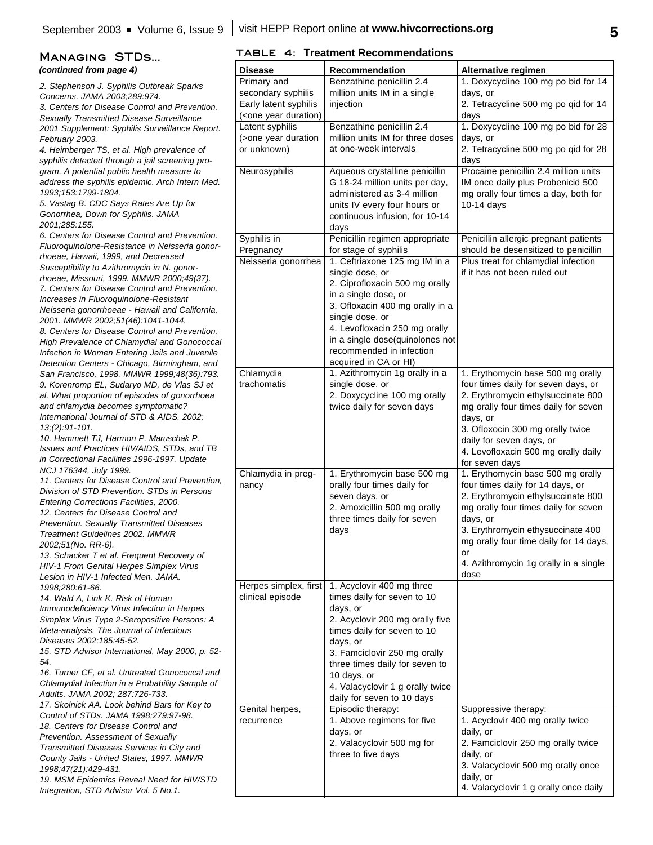# *(continued from page 4)*

*2. Stephenson J. Syphilis Outbreak Sparks Concerns. JAMA 2003;289:974.*

*3. Centers for Disease Control and Prevention. Sexually Transmitted Disease Surveillance 2001 Supplement: Syphilis Surveillance Report. February 2003.*

*4. Heimberger TS, et al. High prevalence of syphilis detected through a jail screening program. A potential public health measure to address the syphilis epidemic. Arch Intern Med. 1993;153:1799-1804.*

*5. Vastag B. CDC Says Rates Are Up for Gonorrhea, Down for Syphilis. JAMA 2001;285:155.* 

*6. Centers for Disease Control and Prevention. Fluoroquinolone-Resistance in Neisseria gonorrhoeae, Hawaii, 1999, and Decreased Susceptibility to Azithromycin in N. gonorrhoeae, Missouri, 1999. MMWR 2000;49(37). 7. Centers for Disease Control and Prevention. Increases in Fluoroquinolone-Resistant Neisseria gonorrhoeae - Hawaii and California, 2001. MMWR 2002;51(46):1041-1044.*

*8. Centers for Disease Control and Prevention. High Prevalence of Chlamydial and Gonococcal Infection in Women Entering Jails and Juvenile Detention Centers - Chicago, Birmingham, and San Francisco, 1998. MMWR 1999;48(36):793. 9. Korenromp EL, Sudaryo MD, de Vlas SJ et al. What proportion of episodes of gonorrhoea and chlamydia becomes symptomatic? International Journal of STD & AIDS. 2002; 13;(2):91-101.*

*10. Hammett TJ, Harmon P, Maruschak P. Issues and Practices HIV/AIDS, STDs, and TB in Correctional Facilities 1996-1997. Update NCJ 176344, July 1999.*

*11. Centers for Disease Control and Prevention, Division of STD Prevention. STDs in Persons Entering Corrections Facilities, 2000. 12. Centers for Disease Control and Prevention. Sexually Transmitted Diseases*

*Treatment Guidelines 2002. MMWR 2002;51(No. RR-6).*

*13. Schacker T et al. Frequent Recovery of HIV-1 From Genital Herpes Simplex Virus Lesion in HIV-1 Infected Men. JAMA. 1998;280:61-66.*

*14. Wald A, Link K. Risk of Human Immunodeficiency Virus Infection in Herpes Simplex Virus Type 2-Seropositive Persons: A Meta-analysis. The Journal of Infectious Diseases 2002;185:45-52.*

*15. STD Advisor International, May 2000, p. 52- 54.*

*16. Turner CF, et al. Untreated Gonococcal and Chlamydial Infection in a Probability Sample of Adults. JAMA 2002; 287:726-733.*

*17. Skolnick AA. Look behind Bars for Key to Control of STDs. JAMA 1998;279:97-98. 18. Centers for Disease Control and Prevention. Assessment of Sexually Transmitted Diseases Services in City and*

*County Jails - United States, 1997. MMWR 1998;47(21):429-431.*

*19. MSM Epidemics Reveal Need for HIV/STD Integration, STD Advisor Vol. 5 No.1.*

## **MANAGING STDS...** TABLE 4: Treatment Recommendations

| Di <u>sease</u>                                                 | <b>Recommendation</b>                                          | Alternative regimen                                          |
|-----------------------------------------------------------------|----------------------------------------------------------------|--------------------------------------------------------------|
| Primary and                                                     | Benzathine penicillin 2.4                                      | 1. Doxycycline 100 mg po bid for 14                          |
| secondary syphilis                                              | million units IM in a single                                   | days, or                                                     |
| Early latent syphilis                                           | injection                                                      | 2. Tetracycline 500 mg po qid for 14                         |
| ( <one duration)<="" td="" year=""><td></td><td>days</td></one> |                                                                | days                                                         |
| Latent syphilis                                                 | Benzathine penicillin 2.4                                      | 1. Doxycycline 100 mg po bid for 28                          |
| (>one year duration                                             | million units IM for three doses                               | days, or                                                     |
| or unknown)                                                     | at one-week intervals                                          | 2. Tetracycline 500 mg po qid for 28                         |
| Neurosyphilis                                                   | Aqueous crystalline penicillin                                 | days<br>Procaine penicillin 2.4 million units                |
|                                                                 | G 18-24 million units per day,                                 | IM once daily plus Probenicid 500                            |
|                                                                 | administered as 3-4 million                                    | mg orally four times a day, both for                         |
|                                                                 | units IV every four hours or                                   | $10-14$ days                                                 |
|                                                                 | continuous infusion, for 10-14                                 |                                                              |
|                                                                 | days                                                           |                                                              |
| Syphilis in                                                     | Penicillin regimen appropriate                                 | Penicillin allergic pregnant patients                        |
| Pregnancy                                                       | for stage of syphilis                                          | should be desensitized to penicillin                         |
| Neisseria gonorrhea                                             | 1. Ceftriaxone 125 mg IM in a                                  | Plus treat for chlamydial infection                          |
|                                                                 | single dose, or                                                | if it has not been ruled out                                 |
|                                                                 | 2. Ciprofloxacin 500 mg orally<br>in a single dose, or         |                                                              |
|                                                                 | 3. Ofloxacin 400 mg orally in a                                |                                                              |
|                                                                 | single dose, or                                                |                                                              |
|                                                                 | 4. Levofloxacin 250 mg orally                                  |                                                              |
|                                                                 | in a single dose(quinolones not                                |                                                              |
|                                                                 | recommended in infection                                       |                                                              |
|                                                                 | acquired in CA or HI)                                          |                                                              |
| Chlamydia                                                       | 1. Azithromycin 1g orally in a                                 | 1. Erythomycin base 500 mg orally                            |
| trachomatis                                                     | single dose, or                                                | four times daily for seven days, or                          |
|                                                                 | 2. Doxycycline 100 mg orally                                   | 2. Erythromycin ethylsuccinate 800                           |
|                                                                 | twice daily for seven days                                     | mg orally four times daily for seven                         |
|                                                                 |                                                                | days, or                                                     |
|                                                                 |                                                                | 3. Ofloxocin 300 mg orally twice<br>daily for seven days, or |
|                                                                 |                                                                | 4. Levofloxacin 500 mg orally daily                          |
|                                                                 |                                                                | for seven days                                               |
| Chlamydia in preg-                                              | 1. Erythromycin base 500 mg                                    | 1. Erythomycin base 500 mg orally                            |
| nancy                                                           | orally four times daily for                                    | four times daily for 14 days, or                             |
|                                                                 | seven days, or                                                 | 2. Erythromycin ethylsuccinate 800                           |
|                                                                 | 2. Amoxicillin 500 mg orally                                   | mg orally four times daily for seven                         |
|                                                                 | three times daily for seven                                    | days, or                                                     |
|                                                                 | days                                                           | 3. Erythromycin ethysuccinate 400                            |
|                                                                 |                                                                | mg orally four time daily for 14 days,                       |
|                                                                 |                                                                | or<br>4. Azithromycin 1g orally in a single                  |
|                                                                 |                                                                | dose                                                         |
| Herpes simplex, first                                           | 1. Acyclovir 400 mg three                                      |                                                              |
| clinical episode                                                | times daily for seven to 10                                    |                                                              |
|                                                                 | days, or                                                       |                                                              |
|                                                                 | 2. Acyclovir 200 mg orally five                                |                                                              |
|                                                                 | times daily for seven to 10                                    |                                                              |
|                                                                 | days, or                                                       |                                                              |
|                                                                 | 3. Famciclovir 250 mg orally<br>three times daily for seven to |                                                              |
|                                                                 | 10 days, or                                                    |                                                              |
|                                                                 | 4. Valacyclovir 1 g orally twice                               |                                                              |
|                                                                 | daily for seven to 10 days                                     |                                                              |
| Genital herpes,                                                 | Episodic therapy:                                              | Suppressive therapy:                                         |
| recurrence                                                      | 1. Above regimens for five                                     | 1. Acyclovir 400 mg orally twice                             |
|                                                                 | days, or                                                       | daily, or                                                    |
|                                                                 | 2. Valacyclovir 500 mg for                                     | 2. Famciclovir 250 mg orally twice                           |
|                                                                 | three to five days                                             | daily, or                                                    |
|                                                                 |                                                                | 3. Valacyclovir 500 mg orally once                           |
|                                                                 |                                                                | daily, or                                                    |
|                                                                 |                                                                | 4. Valacyclovir 1 g orally once daily                        |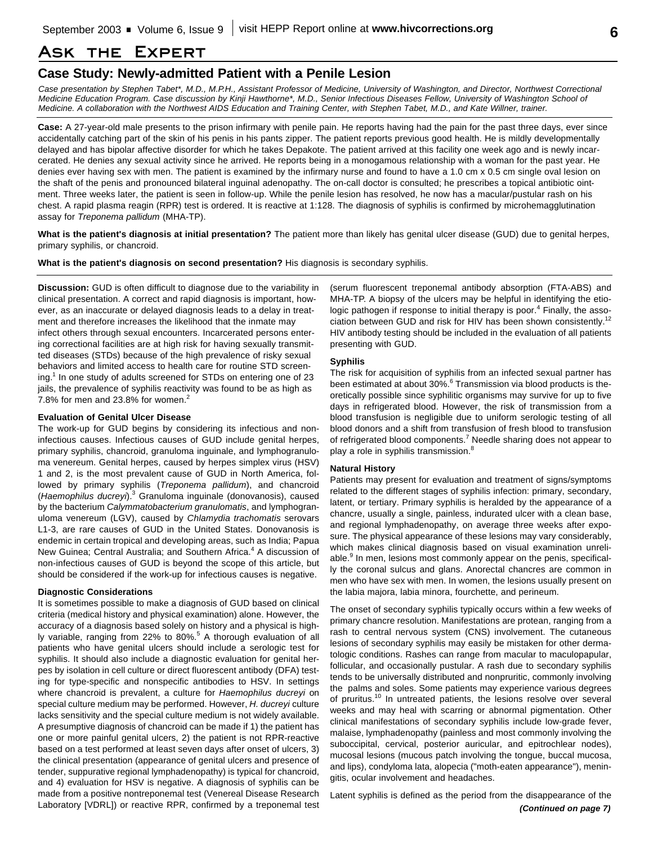# **Ask the Expert**

## **Case Study: Newly-admitted Patient with a Penile Lesion**

*Case presentation by Stephen Tabet\*, M.D., M.P.H., Assistant Professor of Medicine, University of Washington, and Director, Northwest Correctional Medicine Education Program. Case discussion by Kinji Hawthorne\*, M.D., Senior Infectious Diseases Fellow, University of Washington School of Medicine. A collaboration with the Northwest AIDS Education and Training Center, with Stephen Tabet, M.D., and Kate Willner, trainer.*

**Case:** A 27-year-old male presents to the prison infirmary with penile pain. He reports having had the pain for the past three days, ever since accidentally catching part of the skin of his penis in his pants zipper. The patient reports previous good health. He is mildly developmentally delayed and has bipolar affective disorder for which he takes Depakote. The patient arrived at this facility one week ago and is newly incarcerated. He denies any sexual activity since he arrived. He reports being in a monogamous relationship with a woman for the past year. He denies ever having sex with men. The patient is examined by the infirmary nurse and found to have a 1.0 cm x 0.5 cm single oval lesion on the shaft of the penis and pronounced bilateral inguinal adenopathy. The on-call doctor is consulted; he prescribes a topical antibiotic ointment. Three weeks later, the patient is seen in follow-up. While the penile lesion has resolved, he now has a macular/pustular rash on his chest. A rapid plasma reagin (RPR) test is ordered. It is reactive at 1:128. The diagnosis of syphilis is confirmed by microhemagglutination assay for *Treponema pallidum* (MHA-TP).

**What is the patient's diagnosis at initial presentation?** The patient more than likely has genital ulcer disease (GUD) due to genital herpes, primary syphilis, or chancroid.

**What is the patient's diagnosis on second presentation?** His diagnosis is secondary syphilis.

**Discussion:** GUD is often difficult to diagnose due to the variability in clinical presentation. A correct and rapid diagnosis is important, however, as an inaccurate or delayed diagnosis leads to a delay in treatment and therefore increases the likelihood that the inmate may infect others through sexual encounters. Incarcerated persons entering correctional facilities are at high risk for having sexually transmitted diseases (STDs) because of the high prevalence of risky sexual behaviors and limited access to health care for routine STD screening.<sup>1</sup> In one study of adults screened for STDs on entering one of 23 jails, the prevalence of syphilis reactivity was found to be as high as 7.8% for men and 23.8% for women. $2$ 

## **Evaluation of Genital Ulcer Disease**

The work-up for GUD begins by considering its infectious and noninfectious causes. Infectious causes of GUD include genital herpes, primary syphilis, chancroid, granuloma inguinale, and lymphogranuloma venereum. Genital herpes, caused by herpes simplex virus (HSV) 1 and 2, is the most prevalent cause of GUD in North America, followed by primary syphilis (*Treponema pallidum*), and chancroid (*Haemophilus ducreyi*). <sup>3</sup> Granuloma inguinale (donovanosis), caused by the bacterium *Calymmatobacterium granulomatis*, and lymphogranuloma venereum (LGV), caused by *Chlamydia trachomatis* serovars L1-3, are rare causes of GUD in the United States. Donovanosis is endemic in certain tropical and developing areas, such as India; Papua New Guinea; Central Australia; and Southern Africa.<sup>4</sup> A discussion of non-infectious causes of GUD is beyond the scope of this article, but should be considered if the work-up for infectious causes is negative.

#### **Diagnostic Considerations**

It is sometimes possible to make a diagnosis of GUD based on clinical criteria (medical history and physical examination) alone. However, the accuracy of a diagnosis based solely on history and a physical is highly variable, ranging from 22% to 80%.<sup>5</sup> A thorough evaluation of all patients who have genital ulcers should include a serologic test for syphilis. It should also include a diagnostic evaluation for genital herpes by isolation in cell culture or direct fluorescent antibody (DFA) testing for type-specific and nonspecific antibodies to HSV. In settings where chancroid is prevalent, a culture for *Haemophilus ducreyi* on special culture medium may be performed. However, *H. ducreyi* culture lacks sensitivity and the special culture medium is not widely available. A presumptive diagnosis of chancroid can be made if 1) the patient has one or more painful genital ulcers, 2) the patient is not RPR-reactive based on a test performed at least seven days after onset of ulcers, 3) the clinical presentation (appearance of genital ulcers and presence of tender, suppurative regional lymphadenopathy) is typical for chancroid, and 4) evaluation for HSV is negative. A diagnosis of syphilis can be made from a positive nontreponemal test (Venereal Disease Research Laboratory [VDRL]) or reactive RPR, confirmed by a treponemal test

(serum fluorescent treponemal antibody absorption (FTA-ABS) and MHA-TP. A biopsy of the ulcers may be helpful in identifying the etiologic pathogen if response to initial therapy is poor.<sup>4</sup> Finally, the association between GUD and risk for HIV has been shown consistently.<sup>12</sup> HIV antibody testing should be included in the evaluation of all patients presenting with GUD.

#### **Syphilis**

The risk for acquisition of syphilis from an infected sexual partner has been estimated at about 30%.<sup>6</sup> Transmission via blood products is theoretically possible since syphilitic organisms may survive for up to five days in refrigerated blood. However, the risk of transmission from a blood transfusion is negligible due to uniform serologic testing of all blood donors and a shift from transfusion of fresh blood to transfusion of refrigerated blood components.<sup>7</sup> Needle sharing does not appear to play a role in syphilis transmission. $^8$ 

#### **Natural History**

Patients may present for evaluation and treatment of signs/symptoms related to the different stages of syphilis infection: primary, secondary, latent, or tertiary. Primary syphilis is heralded by the appearance of a chancre, usually a single, painless, indurated ulcer with a clean base, and regional lymphadenopathy, on average three weeks after exposure. The physical appearance of these lesions may vary considerably, which makes clinical diagnosis based on visual examination unreliable.<sup>9</sup> In men, lesions most commonly appear on the penis, specifically the coronal sulcus and glans. Anorectal chancres are common in men who have sex with men. In women, the lesions usually present on the labia majora, labia minora, fourchette, and perineum.

The onset of secondary syphilis typically occurs within a few weeks of primary chancre resolution. Manifestations are protean, ranging from a rash to central nervous system (CNS) involvement. The cutaneous lesions of secondary syphilis may easily be mistaken for other dermatologic conditions. Rashes can range from macular to maculopapular, follicular, and occasionally pustular. A rash due to secondary syphilis tends to be universally distributed and nonpruritic, commonly involving the palms and soles. Some patients may experience various degrees of pruritus.<sup>10</sup> In untreated patients, the lesions resolve over several weeks and may heal with scarring or abnormal pigmentation. Other clinical manifestations of secondary syphilis include low-grade fever, malaise, lymphadenopathy (painless and most commonly involving the suboccipital, cervical, posterior auricular, and epitrochlear nodes), mucosal lesions (mucous patch involving the tongue, buccal mucosa, and lips), condyloma lata, alopecia ("moth-eaten appearance"), meningitis, ocular involvement and headaches.

Latent syphilis is defined as the period from the disappearance of the *(Continued on page 7)*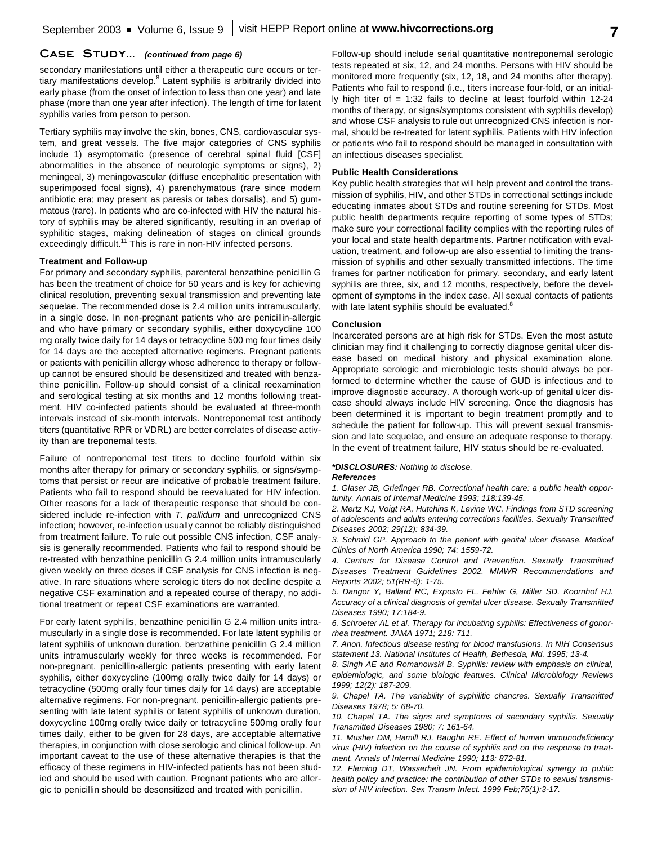## **Case Study...** *(continued from page 6)*

secondary manifestations until either a therapeutic cure occurs or tertiary manifestations develop.<sup>8</sup> Latent syphilis is arbitrarily divided into early phase (from the onset of infection to less than one year) and late phase (more than one year after infection). The length of time for latent syphilis varies from person to person.

Tertiary syphilis may involve the skin, bones, CNS, cardiovascular system, and great vessels. The five major categories of CNS syphilis include 1) asymptomatic (presence of cerebral spinal fluid [CSF] abnormalities in the absence of neurologic symptoms or signs), 2) meningeal, 3) meningovascular (diffuse encephalitic presentation with superimposed focal signs), 4) parenchymatous (rare since modern antibiotic era; may present as paresis or tabes dorsalis), and 5) gummatous (rare). In patients who are co-infected with HIV the natural history of syphilis may be altered significantly, resulting in an overlap of syphilitic stages, making delineation of stages on clinical grounds exceedingly difficult.<sup>11</sup> This is rare in non-HIV infected persons.

#### **Treatment and Follow-up**

For primary and secondary syphilis, parenteral benzathine penicillin G has been the treatment of choice for 50 years and is key for achieving clinical resolution, preventing sexual transmission and preventing late sequelae. The recommended dose is 2.4 million units intramuscularly, in a single dose. In non-pregnant patients who are penicillin-allergic and who have primary or secondary syphilis, either doxycycline 100 mg orally twice daily for 14 days or tetracycline 500 mg four times daily for 14 days are the accepted alternative regimens. Pregnant patients or patients with penicillin allergy whose adherence to therapy or followup cannot be ensured should be desensitized and treated with benzathine penicillin. Follow-up should consist of a clinical reexamination and serological testing at six months and 12 months following treatment. HIV co-infected patients should be evaluated at three-month intervals instead of six-month intervals. Nontreponemal test antibody titers (quantitative RPR or VDRL) are better correlates of disease activity than are treponemal tests.

Failure of nontreponemal test titers to decline fourfold within six months after therapy for primary or secondary syphilis, or signs/symptoms that persist or recur are indicative of probable treatment failure. Patients who fail to respond should be reevaluated for HIV infection. Other reasons for a lack of therapeutic response that should be considered include re-infection with *T. pallidum* and unrecognized CNS infection; however, re-infection usually cannot be reliably distinguished from treatment failure. To rule out possible CNS infection, CSF analysis is generally recommended. Patients who fail to respond should be re-treated with benzathine penicillin G 2.4 million units intramuscularly given weekly on three doses if CSF analysis for CNS infection is negative. In rare situations where serologic titers do not decline despite a negative CSF examination and a repeated course of therapy, no additional treatment or repeat CSF examinations are warranted.

For early latent syphilis, benzathine penicillin G 2.4 million units intramuscularly in a single dose is recommended. For late latent syphilis or latent syphilis of unknown duration, benzathine penicillin G 2.4 million units intramuscularly weekly for three weeks is recommended. For non-pregnant, penicillin-allergic patients presenting with early latent syphilis, either doxycycline (100mg orally twice daily for 14 days) or tetracycline (500mg orally four times daily for 14 days) are acceptable alternative regimens. For non-pregnant, penicillin-allergic patients presenting with late latent syphilis or latent syphilis of unknown duration, doxycycline 100mg orally twice daily or tetracycline 500mg orally four times daily, either to be given for 28 days, are acceptable alternative therapies, in conjunction with close serologic and clinical follow-up. An important caveat to the use of these alternative therapies is that the efficacy of these regimens in HIV-infected patients has not been studied and should be used with caution. Pregnant patients who are allergic to penicillin should be desensitized and treated with penicillin.

Follow-up should include serial quantitative nontreponemal serologic tests repeated at six, 12, and 24 months. Persons with HIV should be monitored more frequently (six, 12, 18, and 24 months after therapy). Patients who fail to respond (i.e., titers increase four-fold, or an initially high titer of  $= 1:32$  fails to decline at least fourfold within 12-24 months of therapy, or signs/symptoms consistent with syphilis develop) and whose CSF analysis to rule out unrecognized CNS infection is normal, should be re-treated for latent syphilis. Patients with HIV infection or patients who fail to respond should be managed in consultation with an infectious diseases specialist.

#### **Public Health Considerations**

Key public health strategies that will help prevent and control the transmission of syphilis, HIV, and other STDs in correctional settings include educating inmates about STDs and routine screening for STDs. Most public health departments require reporting of some types of STDs; make sure your correctional facility complies with the reporting rules of your local and state health departments. Partner notification with evaluation, treatment, and follow-up are also essential to limiting the transmission of syphilis and other sexually transmitted infections. The time frames for partner notification for primary, secondary, and early latent syphilis are three, six, and 12 months, respectively, before the development of symptoms in the index case. All sexual contacts of patients with late latent syphilis should be evaluated.<sup>8</sup>

#### **Conclusion**

Incarcerated persons are at high risk for STDs. Even the most astute clinician may find it challenging to correctly diagnose genital ulcer disease based on medical history and physical examination alone. Appropriate serologic and microbiologic tests should always be performed to determine whether the cause of GUD is infectious and to improve diagnostic accuracy. A thorough work-up of genital ulcer disease should always include HIV screening. Once the diagnosis has been determined it is important to begin treatment promptly and to schedule the patient for follow-up. This will prevent sexual transmission and late sequelae, and ensure an adequate response to therapy. In the event of treatment failure, HIV status should be re-evaluated.

#### *\*DISCLOSURES: Nothing to disclose.*

#### *References*

*1. Glaser JB, Griefinger RB. Correctional health care: a public health opportunity. Annals of Internal Medicine 1993; 118:139-45.*

*2. Mertz KJ, Voigt RA, Hutchins K, Levine WC. Findings from STD screening of adolescents and adults entering corrections facilities. Sexually Transmitted Diseases 2002; 29(12): 834-39.*

*3. Schmid GP. Approach to the patient with genital ulcer disease. Medical Clinics of North America 1990; 74: 1559-72.*

*4. Centers for Disease Control and Prevention. Sexually Transmitted Diseases Treatment Guidelines 2002. MMWR Recommendations and Reports 2002; 51(RR-6): 1-75.*

*5. Dangor Y, Ballard RC, Exposto FL, Fehler G, Miller SD, Koornhof HJ. Accuracy of a clinical diagnosis of genital ulcer disease. Sexually Transmitted Diseases 1990; 17:184-9.*

*6. Schroeter AL et al. Therapy for incubating syphilis: Effectiveness of gonorrhea treatment. JAMA 1971; 218: 711.*

*7. Anon. Infectious disease testing for blood transfusions. In NIH Consensus statement 13. National Institutes of Health, Bethesda, Md. 1995; 13-4.*

*8. Singh AE and Romanowski B. Syphilis: review with emphasis on clinical, epidemiologic, and some biologic features. Clinical Microbiology Reviews 1999; 12(2): 187-209.*

*9. Chapel TA. The variability of syphilitic chancres. Sexually Transmitted Diseases 1978; 5: 68-70.*

*10. Chapel TA. The signs and symptoms of secondary syphilis. Sexually Transmitted Diseases 1980; 7: 161-64.*

*11. Musher DM, Hamill RJ, Baughn RE. Effect of human immunodeficiency virus (HIV) infection on the course of syphilis and on the response to treatment. Annals of Internal Medicine 1990; 113: 872-81.*

*12. Fleming DT, Wasserheit JN. From epidemiological synergy to public health policy and practice: the contribution of other STDs to sexual transmission of HIV infection. Sex Transm Infect. 1999 Feb;75(1):3-17.*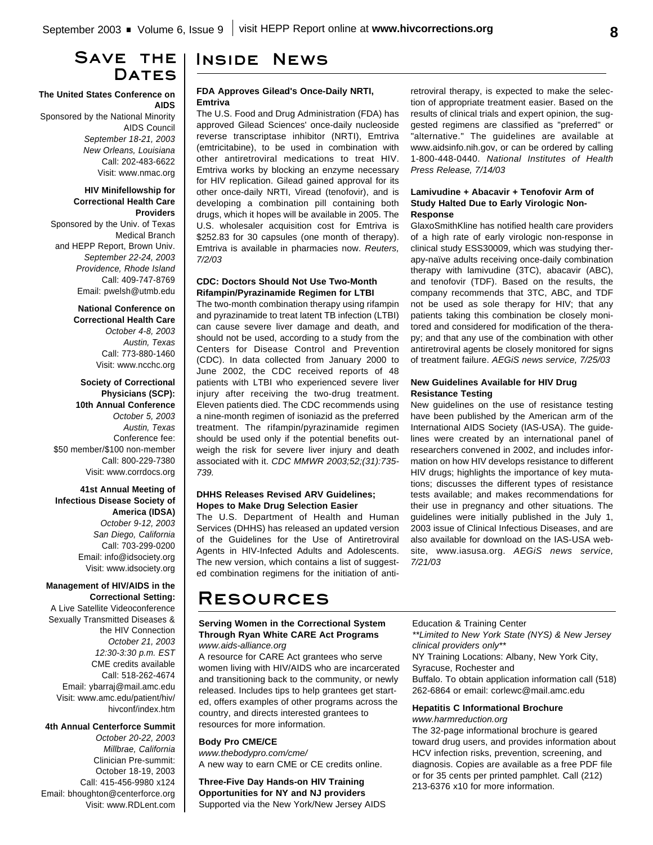# **Save the** DATES

### **The United States Conference on AIDS**

Sponsored by the National Minority AIDS Council *September 18-21, 2003 New Orleans, Louisiana* Call: 202-483-6622 Visit: www.nmac.org

#### **HIV Minifellowship for Correctional Health Care Providers**

Sponsored by the Univ. of Texas Medical Branch and HEPP Report, Brown Univ. *September 22-24, 2003 Providence, Rhode Island* Call: 409-747-8769 Email: pwelsh@utmb.edu

> **National Conference on Correctional Health Care** *October 4-8, 2003 Austin, Texas* Call: 773-880-1460 Visit: www.ncchc.org

**Society of Correctional Physicians (SCP): 10th Annual Conference** *October 5, 2003 Austin, Texas* Conference fee: \$50 member/\$100 non-member Call: 800-229-7380 Visit: www.corrdocs.org

**41st Annual Meeting of Infectious Disease Society of America (IDSA)** *October 9-12, 2003 San Diego, California* Call: 703-299-0200 Email: info@idsociety.org Visit: www.idsociety.org

#### **Management of HIV/AIDS in the Correctional Setting:**

A Live Satellite Videoconference Sexually Transmitted Diseases & the HIV Connection *October 21, 2003 12:30-3:30 p.m. EST* CME credits available Call: 518-262-4674 Email: ybarraj@mail.amc.edu Visit: www.amc.edu/patient/hiv/ hivconf/index.htm

#### **4th Annual Centerforce Summit**

*October 20-22, 2003 Millbrae, California* Clinician Pre-summit: October 18-19, 2003 Call: 415-456-9980 x124 Email: bhoughton@centerforce.org Visit: www.RDLent.com

# **Inside News**

#### **FDA Approves Gilead's Once-Daily NRTI, Emtriva**

The U.S. Food and Drug Administration (FDA) has approved Gilead Sciences' once-daily nucleoside reverse transcriptase inhibitor (NRTI), Emtriva (emtricitabine), to be used in combination with other antiretroviral medications to treat HIV. Emtriva works by blocking an enzyme necessary for HIV replication. Gilead gained approval for its other once-daily NRTI, Viread (tenofovir), and is developing a combination pill containing both drugs, which it hopes will be available in 2005. The U.S. wholesaler acquisition cost for Emtriva is \$252.83 for 30 capsules (one month of therapy). Emtriva is available in pharmacies now. *Reuters, 7/2/03*

#### **CDC: Doctors Should Not Use Two-Month Rifampin/Pyrazinamide Regimen for LTBI**

The two-month combination therapy using rifampin and pyrazinamide to treat latent TB infection (LTBI) can cause severe liver damage and death, and should not be used, according to a study from the Centers for Disease Control and Prevention (CDC). In data collected from January 2000 to June 2002, the CDC received reports of 48 patients with LTBI who experienced severe liver injury after receiving the two-drug treatment. Eleven patients died. The CDC recommends using a nine-month regimen of isoniazid as the preferred treatment. The rifampin/pyrazinamide regimen should be used only if the potential benefits outweigh the risk for severe liver injury and death associated with it. *CDC MMWR 2003;52;(31):735- 739.*

#### **DHHS Releases Revised ARV Guidelines; Hopes to Make Drug Selection Easier**

The U.S. Department of Health and Human Services (DHHS) has released an updated version of the Guidelines for the Use of Antiretroviral Agents in HIV-Infected Adults and Adolescents. The new version, which contains a list of suggested combination regimens for the initiation of anti-

# **Resources**

#### **Serving Women in the Correctional System Through Ryan White CARE Act Programs** *www.aids-alliance.org*

A resource for CARE Act grantees who serve women living with HIV/AIDS who are incarcerated and transitioning back to the community, or newly released. Includes tips to help grantees get started, offers examples of other programs across the country, and directs interested grantees to resources for more information.

### **Body Pro CME/CE**

*www.thebodypro.com/cme/* A new way to earn CME or CE credits online.

**Three-Five Day Hands-on HIV Training Opportunities for NY and NJ providers** Supported via the New York/New Jersey AIDS retroviral therapy, is expected to make the selection of appropriate treatment easier. Based on the results of clinical trials and expert opinion, the suggested regimens are classified as "preferred" or "alternative." The guidelines are available at www.aidsinfo.nih.gov, or can be ordered by calling 1-800-448-0440. *National Institutes of Health Press Release, 7/14/03*

#### **Lamivudine + Abacavir + Tenofovir Arm of Study Halted Due to Early Virologic Non-Response**

GlaxoSmithKline has notified health care providers of a high rate of early virologic non-response in clinical study ESS30009, which was studying therapy-naïve adults receiving once-daily combination therapy with lamivudine (3TC), abacavir (ABC), and tenofovir (TDF). Based on the results, the company recommends that 3TC, ABC, and TDF not be used as sole therapy for HIV; that any patients taking this combination be closely monitored and considered for modification of the therapy; and that any use of the combination with other antiretroviral agents be closely monitored for signs of treatment failure. *AEGiS news service, 7/25/03*

#### **New Guidelines Available for HIV Drug Resistance Testing**

New guidelines on the use of resistance testing have been published by the American arm of the International AIDS Society (IAS-USA). The guidelines were created by an international panel of researchers convened in 2002, and includes information on how HIV develops resistance to different HIV drugs; highlights the importance of key mutations; discusses the different types of resistance tests available; and makes recommendations for their use in pregnancy and other situations. The guidelines were initially published in the July 1, 2003 issue of Clinical Infectious Diseases, and are also available for download on the IAS-USA website, www.iasusa.org. *AEGiS news service, 7/21/03*

Education & Training Center

*\*\*Limited to New York State (NYS) & New Jersey clinical providers only\*\** NY Training Locations: Albany, New York City, Syracuse, Rochester and

Buffalo. To obtain application information call (518) 262-6864 or email: corlewc@mail.amc.edu

#### **Hepatitis C Informational Brochure** *www.harmreduction.org*

The 32-page informational brochure is geared toward drug users, and provides information about HCV infection risks, prevention, screening, and diagnosis. Copies are available as a free PDF file or for 35 cents per printed pamphlet. Call (212) 213-6376 x10 for more information.